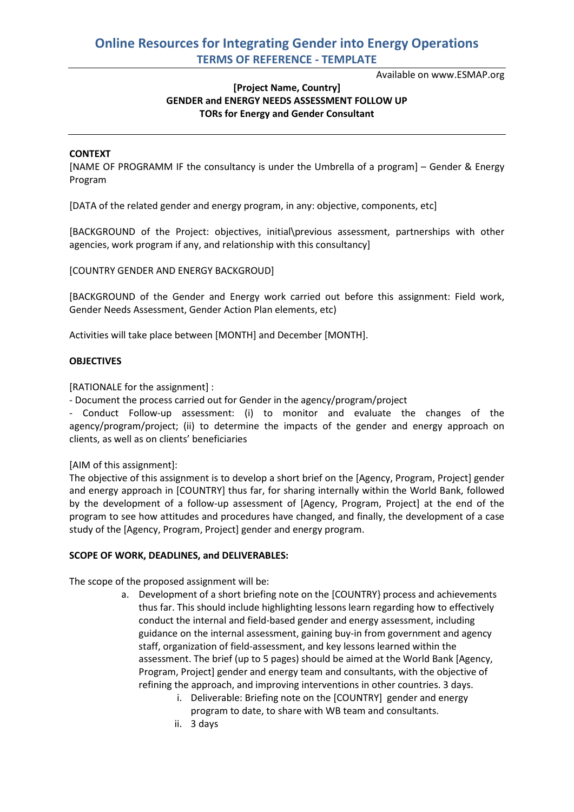## **Online Resources for Integrating Gender into Energy Operations TERMS OF REFERENCE - TEMPLATE**

Available on www.ESMAP.org

## **[Project Name, Country] GENDER and ENERGY NEEDS ASSESSMENT FOLLOW UP TORs for Energy and Gender Consultant**

#### **CONTEXT**

[NAME OF PROGRAMM IF the consultancy is under the Umbrella of a program] – Gender & Energy Program

[DATA of the related gender and energy program, in any: objective, components, etc]

[BACKGROUND of the Project: objectives, initial\previous assessment, partnerships with other agencies, work program if any, and relationship with this consultancy]

[COUNTRY GENDER AND ENERGY BACKGROUD]

[BACKGROUND of the Gender and Energy work carried out before this assignment: Field work, Gender Needs Assessment, Gender Action Plan elements, etc)

Activities will take place between [MONTH] and December [MONTH].

#### **OBJECTIVES**

[RATIONALE for the assignment] :

- Document the process carried out for Gender in the agency/program/project

- Conduct Follow-up assessment: (i) to monitor and evaluate the changes of the agency/program/project; (ii) to determine the impacts of the gender and energy approach on clients, as well as on clients' beneficiaries

[AIM of this assignment]:

The objective of this assignment is to develop a short brief on the [Agency, Program, Project] gender and energy approach in [COUNTRY] thus far, for sharing internally within the World Bank, followed by the development of a follow-up assessment of [Agency, Program, Project] at the end of the program to see how attitudes and procedures have changed, and finally, the development of a case study of the [Agency, Program, Project] gender and energy program.

#### **SCOPE OF WORK, DEADLINES, and DELIVERABLES:**

The scope of the proposed assignment will be:

- a. Development of a short briefing note on the [COUNTRY} process and achievements thus far. This should include highlighting lessons learn regarding how to effectively conduct the internal and field-based gender and energy assessment, including guidance on the internal assessment, gaining buy-in from government and agency staff, organization of field-assessment, and key lessons learned within the assessment. The brief (up to 5 pages) should be aimed at the World Bank [Agency, Program, Project] gender and energy team and consultants, with the objective of refining the approach, and improving interventions in other countries. 3 days.
	- i. Deliverable: Briefing note on the [COUNTRY] gender and energy program to date, to share with WB team and consultants.
	- ii. 3 days